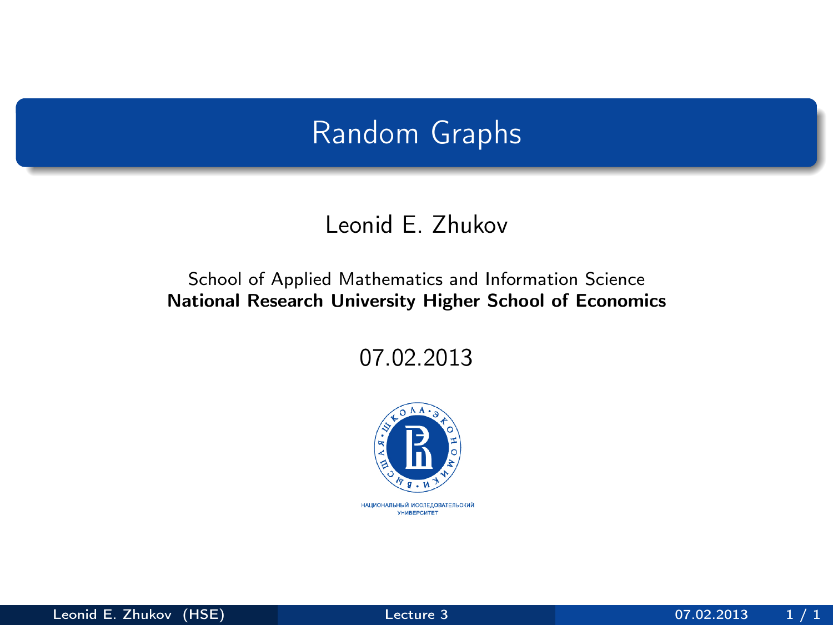## Random Graphs

### Leonid E. Zhukov

#### School of Applied Mathematics and Information Science National Research University Higher School of Economics

07.02.2013

<span id="page-0-0"></span>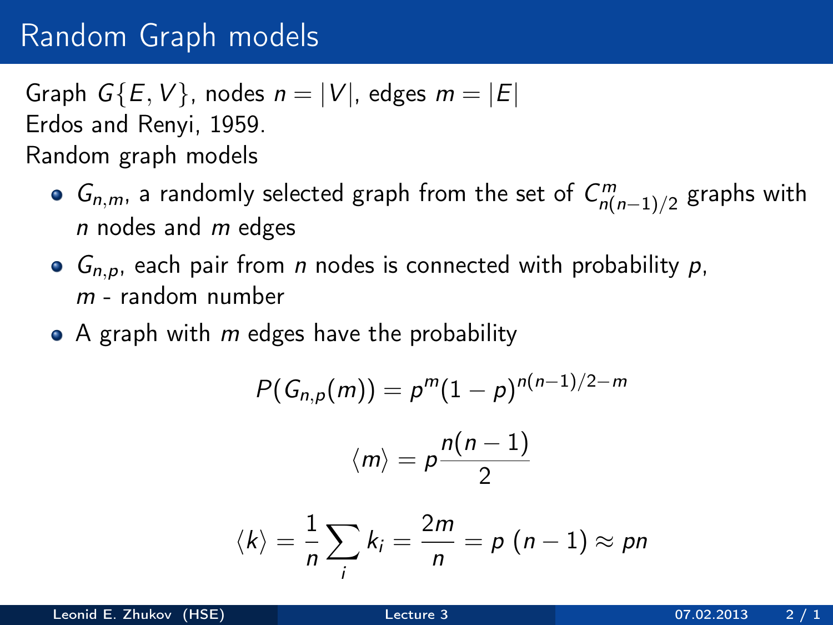## Random Graph models

Graph  $G{E, V}$ , nodes  $n = |V|$ , edges  $m = |E|$ Erdos and Renyi, 1959. Random graph models

- $G_{n,m}$ , a randomly selected graph from the set of  $C_{n(n-1)/2}^m$  graphs with  $n$  nodes and  $m$  edges
- $G_{n,p}$ , each pair from *n* nodes is connected with probability p,  $m$  - random number
- $\bullet$  A graph with m edges have the probability

$$
P(G_{n,p}(m)) = p^m (1-p)^{n(n-1)/2-m}
$$

$$
\langle m \rangle = p \frac{n(n-1)}{2}
$$

$$
\langle k \rangle = \frac{1}{n} \sum_i k_i = \frac{2m}{n} = p (n-1) \approx pn
$$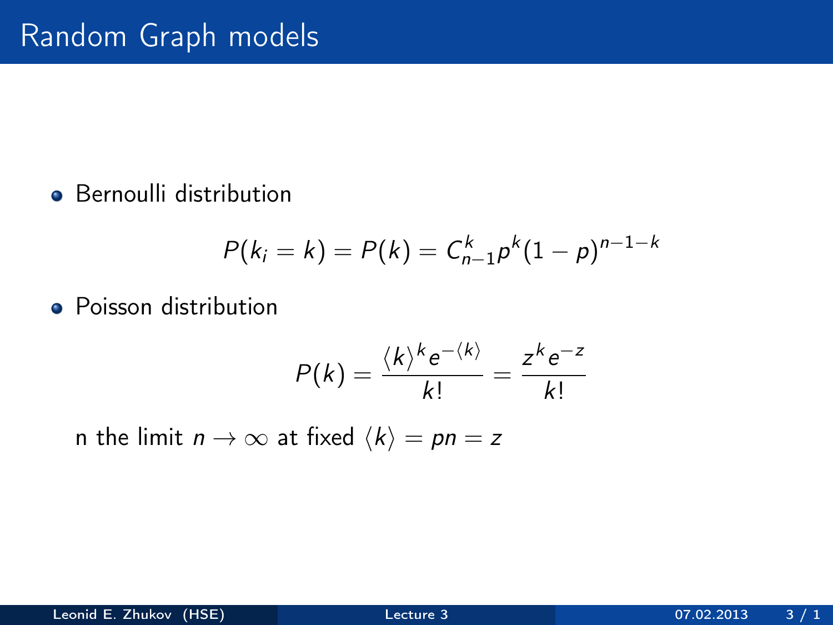**•** Bernoulli distribution

$$
P(k_i = k) = P(k) = C_{n-1}^{k} p^{k} (1-p)^{n-1-k}
$$

• Poisson distribution

$$
P(k) = \frac{\langle k \rangle^k e^{-\langle k \rangle}}{k!} = \frac{z^k e^{-z}}{k!}
$$

n the limit  $n \to \infty$  at fixed  $\langle k \rangle = pn = z$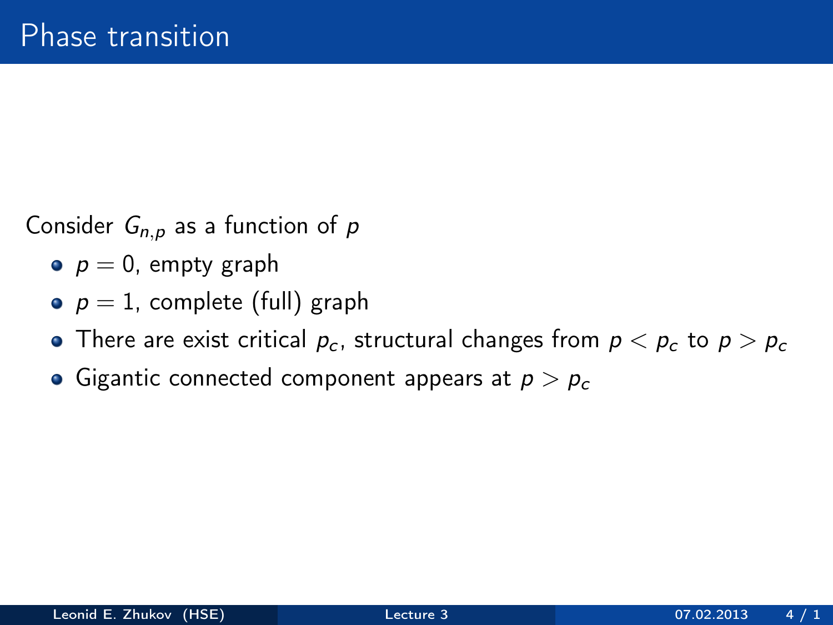Consider  $G_{n,p}$  as a function of p

- $p = 0$ , empty graph
- $p = 1$ , complete (full) graph
- There are exist critical  $p_c$ , structural changes from  $p < p_c$  to  $p > p_c$
- Gigantic connected component appears at  $p > p_c$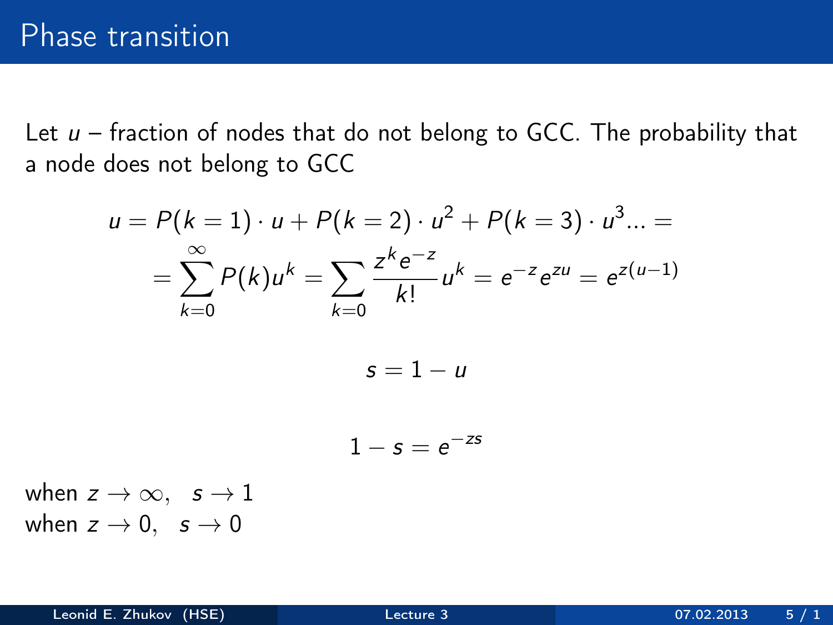Let  $u$  – fraction of nodes that do not belong to GCC. The probability that a node does not belong to GCC

$$
u = P(k = 1) \cdot u + P(k = 2) \cdot u^{2} + P(k = 3) \cdot u^{3} \dots =
$$
\n
$$
= \sum_{k=0}^{\infty} P(k)u^{k} = \sum_{k=0}^{\infty} \frac{z^{k}e^{-z}}{k!}u^{k} = e^{-z}e^{zu} = e^{z(u-1)}
$$
\n
$$
s = 1 - u
$$
\n
$$
1 - s = e^{-zs}
$$
\n
$$
s = 1 - u
$$

when  $z \rightarrow 0$ ,  $s \rightarrow 0$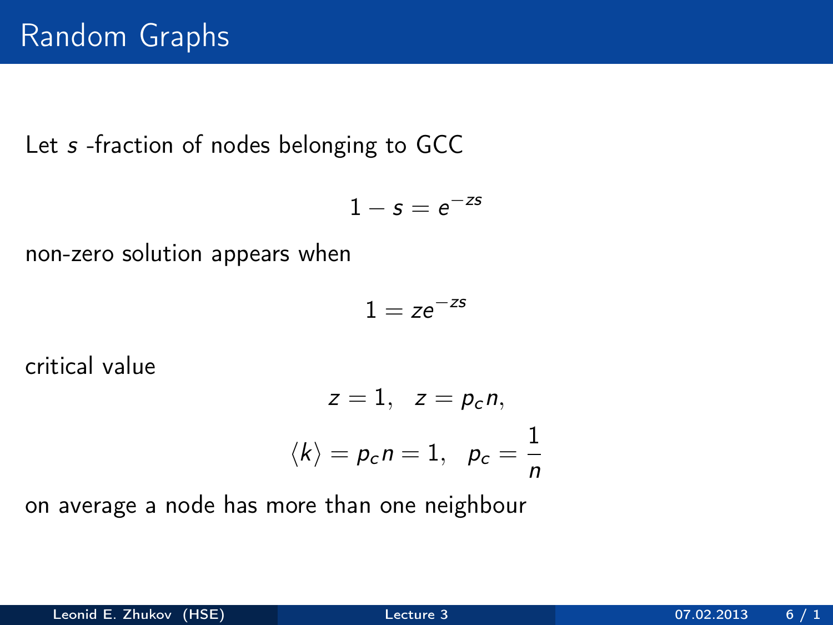Let s -fraction of nodes belonging to GCC

$$
1-s=e^{-zs}
$$

non-zero solution appears when

$$
1=ze^{-zs}
$$

critical value

$$
z = 1, \quad z = p_c n,
$$
  

$$
\langle k \rangle = p_c n = 1, \quad p_c = \frac{1}{n}
$$

on average a node has more than one neighbour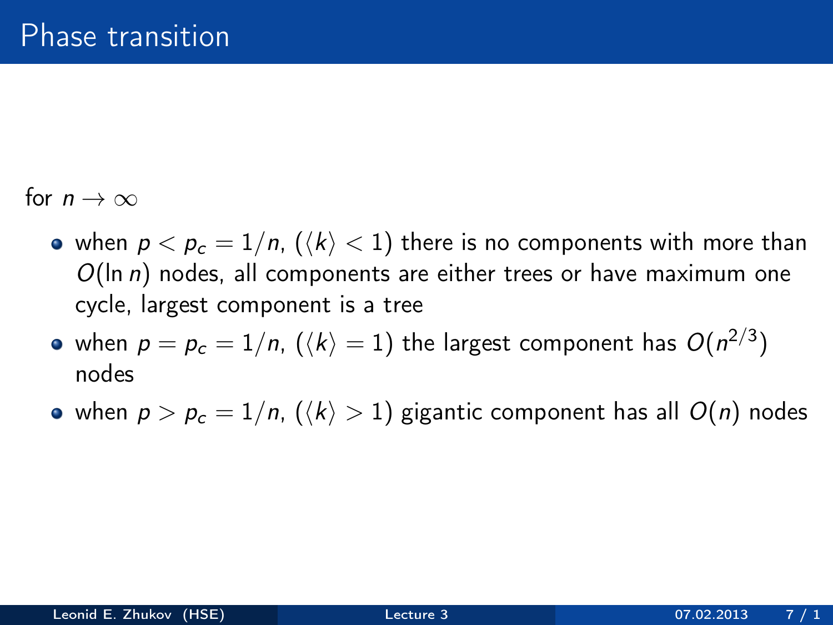for  $n \to \infty$ 

- when  $p < p_c = 1/n$ ,  $(\langle k \rangle < 1)$  there is no components with more than  $O(\ln n)$  nodes, all components are either trees or have maximum one cycle, largest component is a tree
- when  $\rho=\rho_c=1/n,$   $(\langle k\rangle=1)$  the largest component has  $O(n^{2/3})$ nodes
- when  $p > p_c = 1/n$ ,  $(\langle k \rangle > 1)$  gigantic component has all  $O(n)$  nodes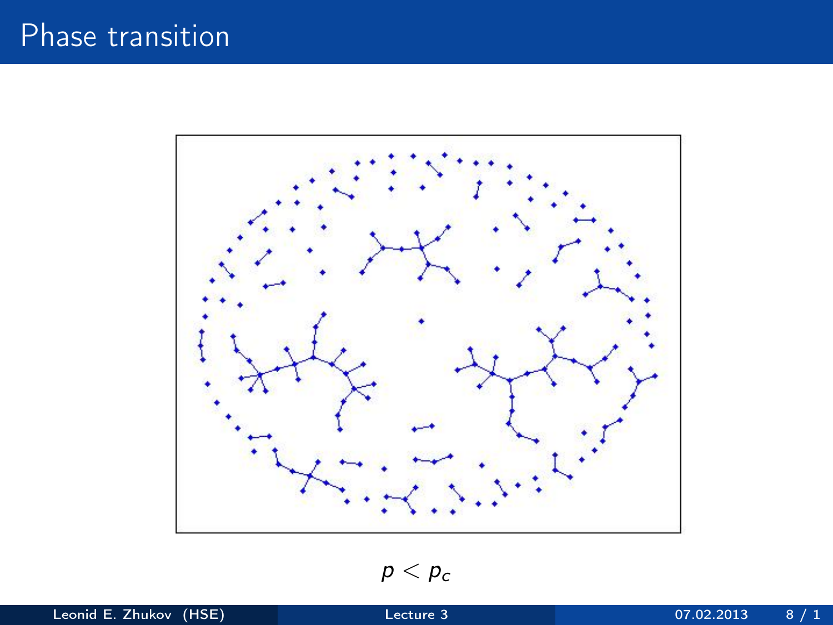# Phase transition



 $p < p_c$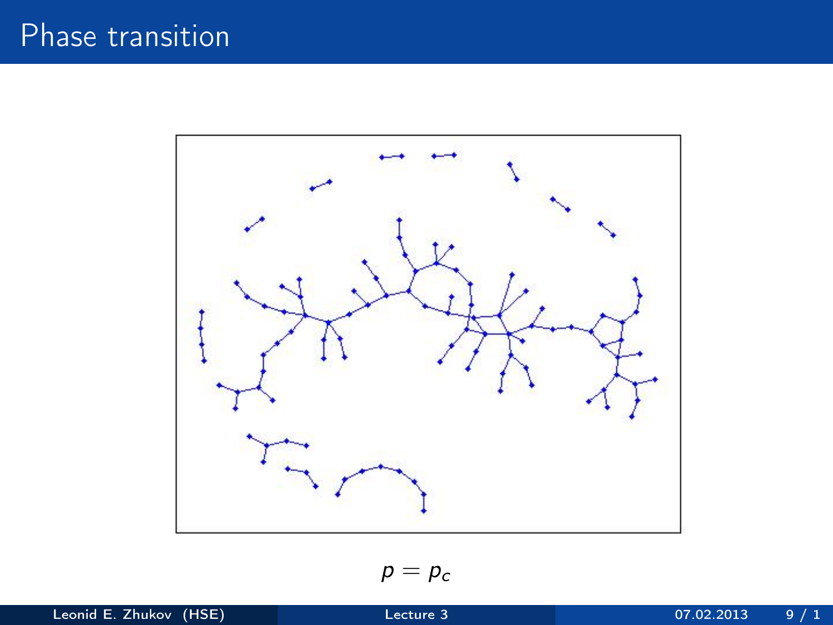

 $p = p_c$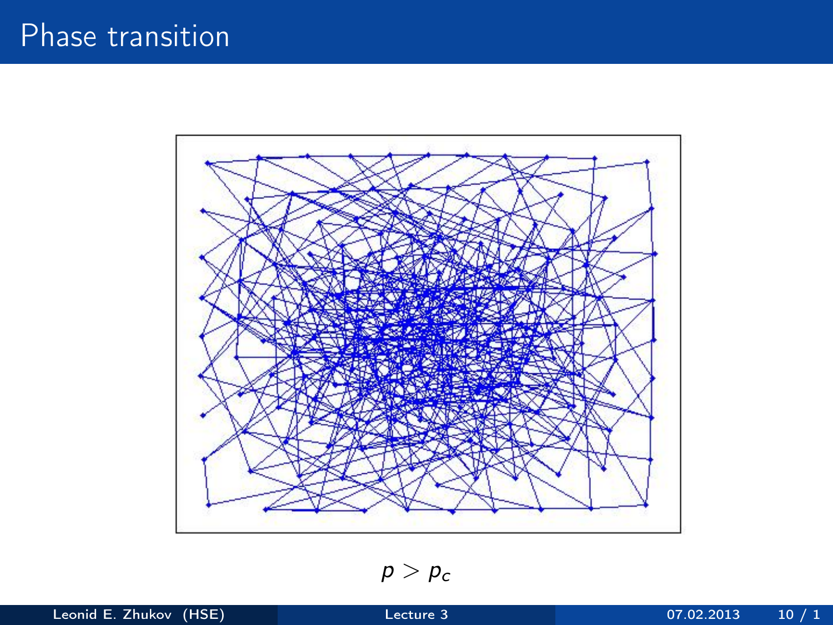

 $p > p_c$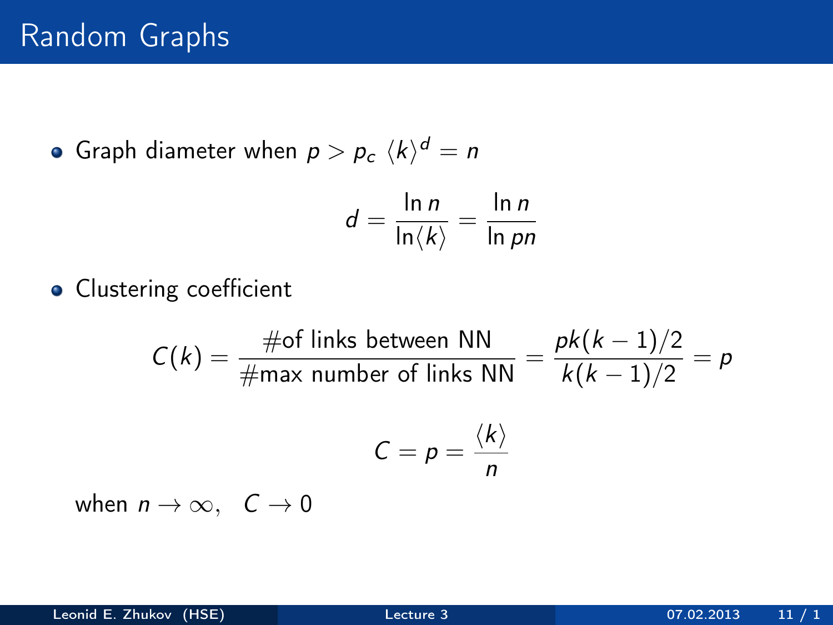Graph diameter when  $p>p_{c}\,\,\langle k\rangle ^{d}=n$ 

$$
d = \frac{\ln n}{\ln \langle k \rangle} = \frac{\ln n}{\ln pn}
$$

**•** Clustering coefficient

$$
C(k) = \frac{\text{\#of links between NN}}{\text{\#max number of links NN}} = \frac{pk(k-1)/2}{k(k-1)/2} = p
$$

$$
C = p = \frac{\langle k \rangle}{n}
$$

when  $n \to \infty$ ,  $C \to 0$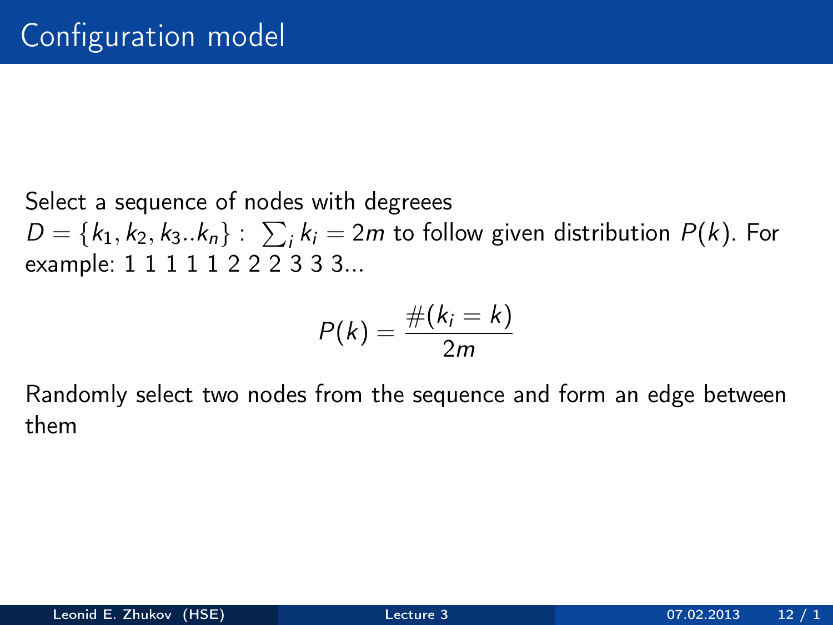Select a sequence of nodes with degreees  $D = \{k_1, k_2, k_3..k_n\}: \sum_i k_i = 2m$  to follow given distribution  $P(k)$ . For example: 1 1 1 1 1 2 2 2 3 3 3...

$$
P(k)=\frac{\#(k_i=k)}{2m}
$$

Randomly select two nodes from the sequence and form an edge between them